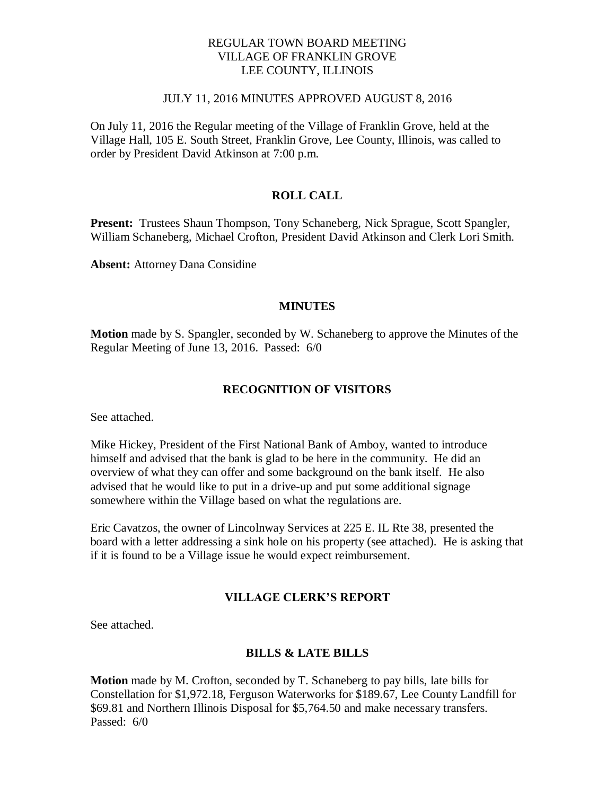### REGULAR TOWN BOARD MEETING VILLAGE OF FRANKLIN GROVE LEE COUNTY, ILLINOIS

#### JULY 11, 2016 MINUTES APPROVED AUGUST 8, 2016

On July 11, 2016 the Regular meeting of the Village of Franklin Grove, held at the Village Hall, 105 E. South Street, Franklin Grove, Lee County, Illinois, was called to order by President David Atkinson at 7:00 p.m.

## **ROLL CALL**

**Present:** Trustees Shaun Thompson, Tony Schaneberg, Nick Sprague, Scott Spangler, William Schaneberg, Michael Crofton, President David Atkinson and Clerk Lori Smith.

**Absent:** Attorney Dana Considine

#### **MINUTES**

**Motion** made by S. Spangler, seconded by W. Schaneberg to approve the Minutes of the Regular Meeting of June 13, 2016. Passed: 6/0

#### **RECOGNITION OF VISITORS**

See attached.

Mike Hickey, President of the First National Bank of Amboy, wanted to introduce himself and advised that the bank is glad to be here in the community. He did an overview of what they can offer and some background on the bank itself. He also advised that he would like to put in a drive-up and put some additional signage somewhere within the Village based on what the regulations are.

Eric Cavatzos, the owner of Lincolnway Services at 225 E. IL Rte 38, presented the board with a letter addressing a sink hole on his property (see attached). He is asking that if it is found to be a Village issue he would expect reimbursement.

### **VILLAGE CLERK'S REPORT**

See attached.

#### **BILLS & LATE BILLS**

**Motion** made by M. Crofton, seconded by T. Schaneberg to pay bills, late bills for Constellation for \$1,972.18, Ferguson Waterworks for \$189.67, Lee County Landfill for \$69.81 and Northern Illinois Disposal for \$5,764.50 and make necessary transfers. Passed: 6/0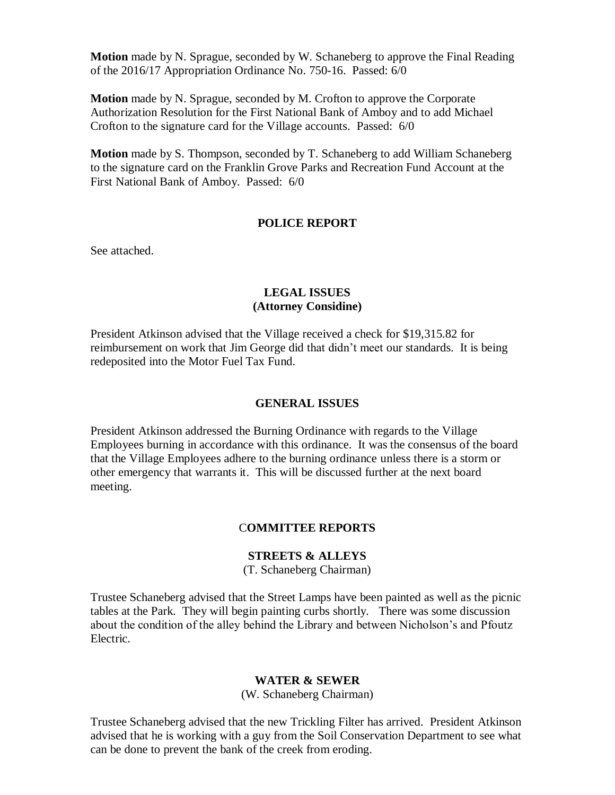**Motion** made by N. Sprague, seconded by W. Schaneberg to approve the Final Reading of the 2016/17 Appropriation Ordinance No. 750-16. Passed: 6/0

**Motion** made by N. Sprague, seconded by M. Crofton to approve the Corporate Authorization Resolution for the First National Bank of Amboy and to add Michael Crofton to the signature card for the Village accounts. Passed: 6/0

**Motion** made by S. Thompson, seconded by T. Schaneberg to add William Schaneberg to the signature card on the Franklin Grove Parks and Recreation Fund Account at the First National Bank of Amboy. Passed: 6/0

### **POLICE REPORT**

See attached.

### **LEGAL ISSUES (Attorney Considine)**

President Atkinson advised that the Village received a check for \$19,315.82 for reimbursement on work that Jim George did that didn't meet our standards. It is being redeposited into the Motor Fuel Tax Fund.

### **GENERAL ISSUES**

President Atkinson addressed the Burning Ordinance with regards to the Village Employees burning in accordance with this ordinance. It was the consensus of the board that the Village Employees adhere to the burning ordinance unless there is a storm or other emergency that warrants it. This will be discussed further at the next board meeting.

#### C**OMMITTEE REPORTS**

## **STREETS & ALLEYS**

(T. Schaneberg Chairman)

Trustee Schaneberg advised that the Street Lamps have been painted as well as the picnic tables at the Park. They will begin painting curbs shortly. There was some discussion about the condition of the alley behind the Library and between Nicholson's and Pfoutz Electric.

### **WATER & SEWER**

(W. Schaneberg Chairman)

Trustee Schaneberg advised that the new Trickling Filter has arrived. President Atkinson advised that he is working with a guy from the Soil Conservation Department to see what can be done to prevent the bank of the creek from eroding.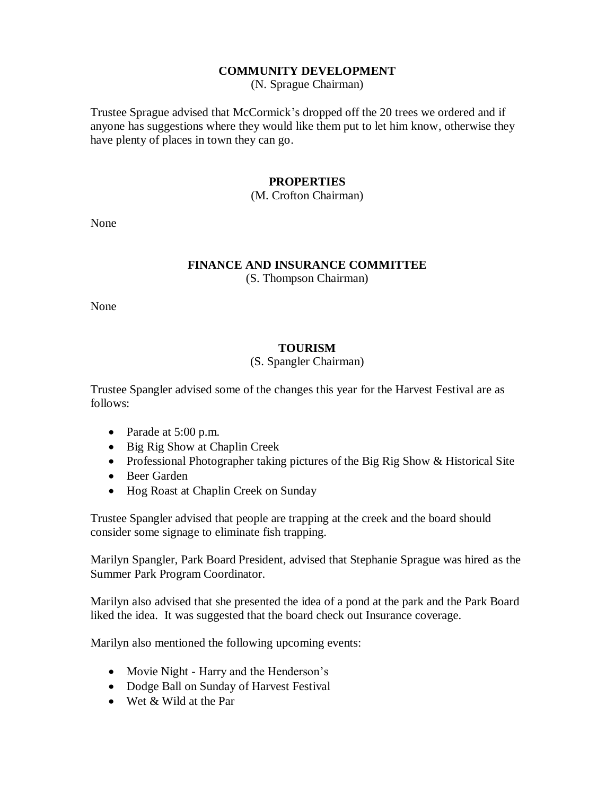## **COMMUNITY DEVELOPMENT**

(N. Sprague Chairman)

Trustee Sprague advised that McCormick's dropped off the 20 trees we ordered and if anyone has suggestions where they would like them put to let him know, otherwise they have plenty of places in town they can go.

## **PROPERTIES**

### (M. Crofton Chairman)

None

# **FINANCE AND INSURANCE COMMITTEE**

(S. Thompson Chairman)

None

# **TOURISM**

## (S. Spangler Chairman)

Trustee Spangler advised some of the changes this year for the Harvest Festival are as follows:

- Parade at 5:00 p.m.
- Big Rig Show at Chaplin Creek
- Professional Photographer taking pictures of the Big Rig Show & Historical Site
- Beer Garden
- Hog Roast at Chaplin Creek on Sunday

Trustee Spangler advised that people are trapping at the creek and the board should consider some signage to eliminate fish trapping.

Marilyn Spangler, Park Board President, advised that Stephanie Sprague was hired as the Summer Park Program Coordinator.

Marilyn also advised that she presented the idea of a pond at the park and the Park Board liked the idea. It was suggested that the board check out Insurance coverage.

Marilyn also mentioned the following upcoming events:

- Movie Night Harry and the Henderson's
- Dodge Ball on Sunday of Harvest Festival
- Wet & Wild at the Par